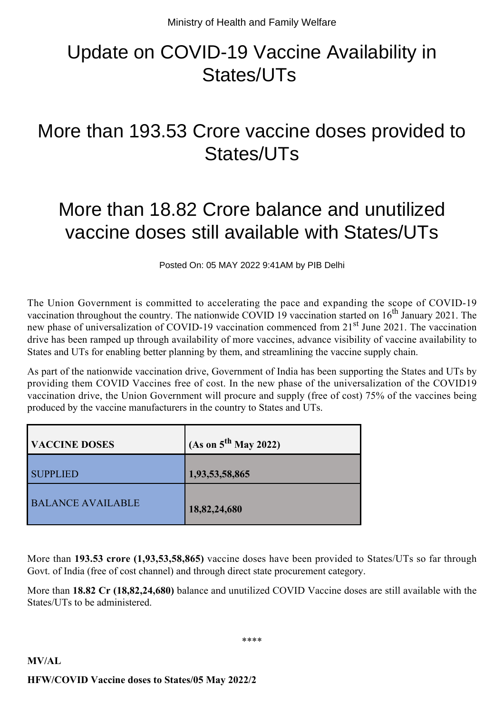## Update on COVID-19 Vaccine Availability in States/UTs

## More than 193.53 Crore vaccine doses provided to States/UTs

## More than 18.82 Crore balance and unutilized vaccine doses still available with States/UTs

Posted On: 05 MAY 2022 9:41AM by PIB Delhi

The Union Government is committed to accelerating the pace and expanding the scope of COVID-19 vaccination throughout the country. The nationwide COVID 19 vaccination started on  $16<sup>th</sup>$  January 2021. The new phase of universalization of COVID-19 vaccination commenced from 21<sup>st</sup> June 2021. The vaccination drive has been ramped up through availability of more vaccines, advance visibility of vaccine availability to States and UTs for enabling better planning by them, and streamlining the vaccine supply chain.

As part of the nationwide vaccination drive, Government of India has been supporting the States and UTs by providing them COVID Vaccines free of cost. In the new phase of the universalization of the COVID19 vaccination drive, the Union Government will procure and supply (free of cost) 75% of the vaccines being produced by the vaccine manufacturers in the country to States and UTs.

| <b>VACCINE DOSES</b>     | (As on $5^{th}$ May 2022) |
|--------------------------|---------------------------|
| <b>SUPPLIED</b>          | 1,93,53,58,865            |
| <b>BALANCE AVAILABLE</b> | 18,82,24,680              |

More than **193.53 crore (1,93,53,58,865)** vaccine doses have been provided to States/UTs so far through Govt. of India (free of cost channel) and through direct state procurement category.

More than **18.82 Cr (18,82,24,680)** balance and unutilized COVID Vaccine doses are still available with the States/UTs to be administered.

\*\*\*\*

## **MV/AL HFW/COVID Vaccine doses to States/05 May 2022/2**